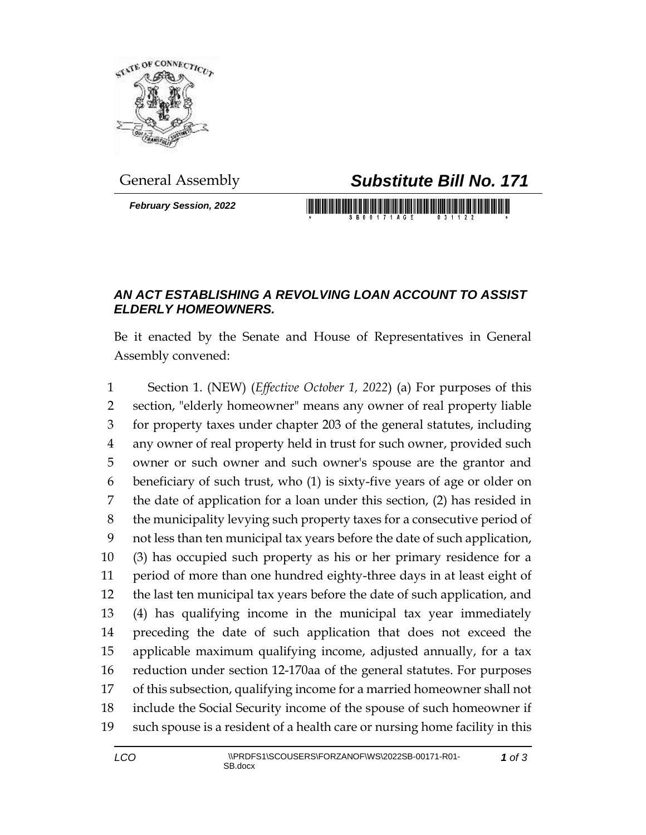

*February Session, 2022*

## General Assembly *Substitute Bill No. 171*

<u> III di kacamatan ing Kabupatèn Bandaran Ing Kabupatèn Bandaran Ing Kabupatèn Bandaran Ing Kabupatèn Bandaran </u>

## *AN ACT ESTABLISHING A REVOLVING LOAN ACCOUNT TO ASSIST ELDERLY HOMEOWNERS.*

Be it enacted by the Senate and House of Representatives in General Assembly convened:

 Section 1. (NEW) (*Effective October 1, 2022*) (a) For purposes of this section, "elderly homeowner" means any owner of real property liable for property taxes under chapter 203 of the general statutes, including any owner of real property held in trust for such owner, provided such owner or such owner and such owner's spouse are the grantor and beneficiary of such trust, who (1) is sixty-five years of age or older on the date of application for a loan under this section, (2) has resided in the municipality levying such property taxes for a consecutive period of not less than ten municipal tax years before the date of such application, (3) has occupied such property as his or her primary residence for a period of more than one hundred eighty-three days in at least eight of the last ten municipal tax years before the date of such application, and (4) has qualifying income in the municipal tax year immediately preceding the date of such application that does not exceed the applicable maximum qualifying income, adjusted annually, for a tax reduction under section 12-170aa of the general statutes. For purposes of this subsection, qualifying income for a married homeowner shall not include the Social Security income of the spouse of such homeowner if such spouse is a resident of a health care or nursing home facility in this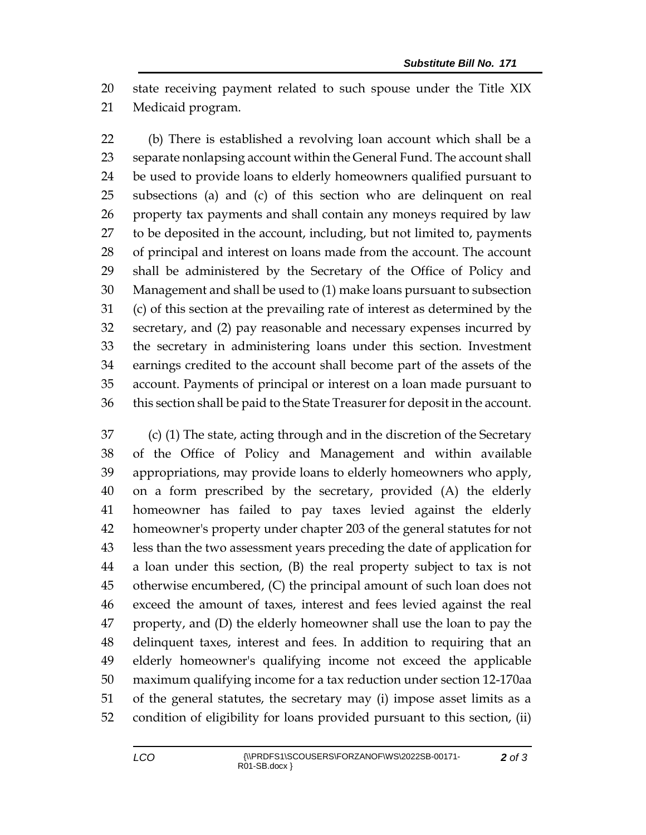state receiving payment related to such spouse under the Title XIX Medicaid program.

 (b) There is established a revolving loan account which shall be a separate nonlapsing account within the General Fund. The account shall be used to provide loans to elderly homeowners qualified pursuant to subsections (a) and (c) of this section who are delinquent on real property tax payments and shall contain any moneys required by law to be deposited in the account, including, but not limited to, payments of principal and interest on loans made from the account. The account shall be administered by the Secretary of the Office of Policy and Management and shall be used to (1) make loans pursuant to subsection (c) of this section at the prevailing rate of interest as determined by the secretary, and (2) pay reasonable and necessary expenses incurred by the secretary in administering loans under this section. Investment earnings credited to the account shall become part of the assets of the account. Payments of principal or interest on a loan made pursuant to this section shall be paid to the State Treasurer for deposit in the account.

 (c) (1) The state, acting through and in the discretion of the Secretary of the Office of Policy and Management and within available appropriations, may provide loans to elderly homeowners who apply, on a form prescribed by the secretary, provided (A) the elderly homeowner has failed to pay taxes levied against the elderly homeowner's property under chapter 203 of the general statutes for not less than the two assessment years preceding the date of application for a loan under this section, (B) the real property subject to tax is not otherwise encumbered, (C) the principal amount of such loan does not exceed the amount of taxes, interest and fees levied against the real property, and (D) the elderly homeowner shall use the loan to pay the delinquent taxes, interest and fees. In addition to requiring that an elderly homeowner's qualifying income not exceed the applicable maximum qualifying income for a tax reduction under section 12-170aa of the general statutes, the secretary may (i) impose asset limits as a condition of eligibility for loans provided pursuant to this section, (ii)